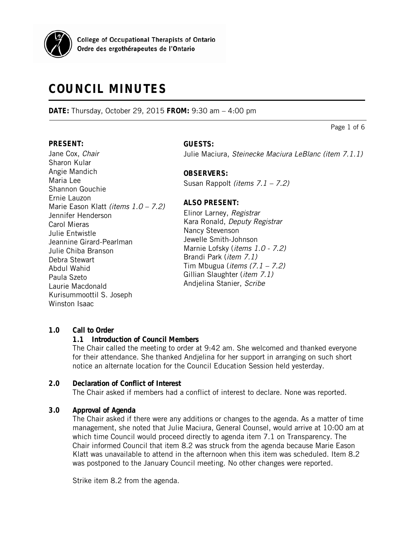

# **COUNCIL MINUTES**

**DATE:** Thursday, October 29, 2015 **FROM:** 9:30 am – 4:00 pm

**PRESENT:**

Jane Cox, Chair Sharon Kular Angie Mandich Maria Lee Shannon Gouchie Ernie Lauzon Marie Eason Klatt (items 1.0 – 7.2) Jennifer Henderson Carol Mieras Julie Entwistle Jeannine Girard-Pearlman Julie Chiba Branson Debra Stewart Abdul Wahid Paula Szeto Laurie Macdonald Kurisummoottil S. Joseph Winston Isaac

## **GUESTS:**

Julie Maciura, Steinecke Maciura LeBlanc (item 7.1.1)

## **OBSERVERS:**

Susan Rappolt (items 7.1 – 7.2)

## **ALSO PRESENT:**

Elinor Larney, Registrar Kara Ronald, Deputy Registrar Nancy Stevenson Jewelle Smith-Johnson Marnie Lofsky (items 1.0 - 7.2) Brandi Park (item 7.1) Tim Mbugua (*items*  $(7.1 – 7.2)$ Gillian Slaughter (*item 7.1)* Andjelina Stanier, Scribe

#### **1.0 Call to Order**

#### **1.1 Introduction of Council Members**

The Chair called the meeting to order at 9:42 am. She welcomed and thanked everyone for their attendance. She thanked Andjelina for her support in arranging on such short notice an alternate location for the Council Education Session held yesterday.

## **2.0 Declaration of Conflict of Interest**

The Chair asked if members had a conflict of interest to declare. None was reported.

## **3.0 Approval of Agenda**

The Chair asked if there were any additions or changes to the agenda. As a matter of time management, she noted that Julie Maciura, General Counsel, would arrive at 10:00 am at which time Council would proceed directly to agenda item 7.1 on Transparency. The Chair informed Council that item 8.2 was struck from the agenda because Marie Eason Klatt was unavailable to attend in the afternoon when this item was scheduled. Item 8.2 was postponed to the January Council meeting. No other changes were reported.

Strike item 8.2 from the agenda.

Page 1 of 6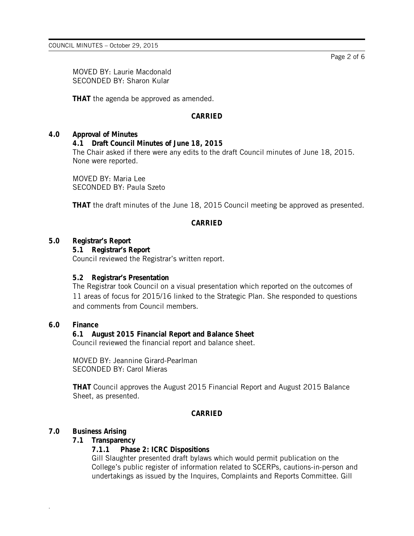MOVED BY: Laurie Macdonald SECONDED BY: Sharon Kular

**THAT** the agenda be approved as amended.

## **CARRIED**

#### **4.0 Approval of Minutes**

**4.1 Draft Council Minutes of June 18, 2015**

The Chair asked if there were any edits to the draft Council minutes of June 18, 2015. None were reported.

MOVED BY: Maria Lee SECONDED BY: Paula Szeto

**THAT** the draft minutes of the June 18, 2015 Council meeting be approved as presented.

## **CARRIED**

#### **5.0 Registrar's Report**

**5.1 Registrar's Report** Council reviewed the Registrar's written report.

#### **5.2 Registrar's Presentation**

The Registrar took Council on a visual presentation which reported on the outcomes of 11 areas of focus for 2015/16 linked to the Strategic Plan. She responded to questions and comments from Council members.

#### **6.0 Finance**

## **6.1 August 2015 Financial Report and Balance Sheet**

Council reviewed the financial report and balance sheet.

MOVED BY: Jeannine Girard-Pearlman SECONDED BY: Carol Mieras

**THAT** Council approves the August 2015 Financial Report and August 2015 Balance Sheet, as presented.

## **CARRIED**

#### **7.0 Business Arising**

.

#### **7.1 Transparency**

#### **7.1.1 Phase 2: ICRC Dispositions**

Gill Slaughter presented draft bylaws which would permit publication on the College's public register of information related to SCERPs, cautions-in-person and undertakings as issued by the Inquires, Complaints and Reports Committee. Gill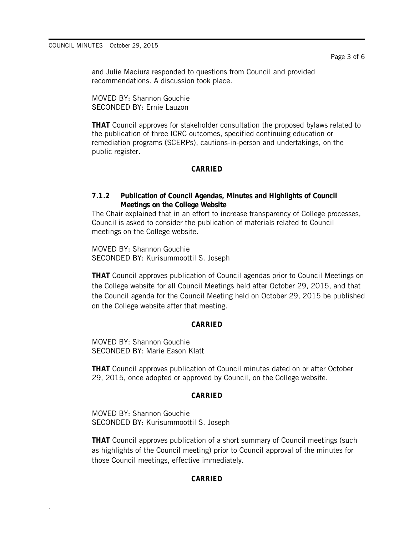and Julie Maciura responded to questions from Council and provided recommendations. A discussion took place.

MOVED BY: Shannon Gouchie SECONDED BY: Ernie Lauzon

**THAT** Council approves for stakeholder consultation the proposed bylaws related to the publication of three ICRC outcomes, specified continuing education or remediation programs (SCERPs), cautions-in-person and undertakings, on the public register.

### **CARRIED**

### **7.1.2 Publication of Council Agendas, Minutes and Highlights of Council Meetings on the College Website**

The Chair explained that in an effort to increase transparency of College processes, Council is asked to consider the publication of materials related to Council meetings on the College website.

MOVED BY: Shannon Gouchie SECONDED BY: Kurisummoottil S. Joseph

**THAT** Council approves publication of Council agendas prior to Council Meetings on the College website for all Council Meetings held after October 29, 2015, and that the Council agenda for the Council Meeting held on October 29, 2015 be published on the College website after that meeting.

#### **CARRIED**

MOVED BY: Shannon Gouchie SECONDED BY: Marie Eason Klatt

**THAT** Council approves publication of Council minutes dated on or after October 29, 2015, once adopted or approved by Council, on the College website.

#### **CARRIED**

MOVED BY: Shannon Gouchie SECONDED BY: Kurisummoottil S. Joseph

.

**THAT** Council approves publication of a short summary of Council meetings (such as highlights of the Council meeting) prior to Council approval of the minutes for those Council meetings, effective immediately.

#### **CARRIED**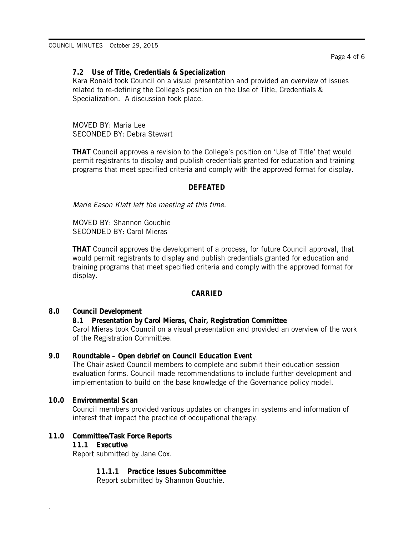### **7.2 Use of Title, Credentials & Specialization**

Kara Ronald took Council on a visual presentation and provided an overview of issues related to re-defining the College's position on the Use of Title, Credentials & Specialization. A discussion took place.

MOVED BY: Maria Lee SECONDED BY: Debra Stewart

**THAT** Council approves a revision to the College's position on 'Use of Title' that would permit registrants to display and publish credentials granted for education and training programs that meet specified criteria and comply with the approved format for display.

#### **DEFEATED**

Marie Eason Klatt left the meeting at this time.

MOVED BY: Shannon Gouchie SECONDED BY: Carol Mieras

**THAT** Council approves the development of a process, for future Council approval, that would permit registrants to display and publish credentials granted for education and training programs that meet specified criteria and comply with the approved format for display.

#### **CARRIED**

#### **8.0 Council Development**

**8.1 Presentation by Carol Mieras, Chair, Registration Committee** Carol Mieras took Council on a visual presentation and provided an overview of the work of the Registration Committee.

#### **9.0 Roundtable – Open debrief on Council Education Event**

The Chair asked Council members to complete and submit their education session evaluation forms. Council made recommendations to include further development and implementation to build on the base knowledge of the Governance policy model.

## **10.0 Environmental Scan**

Council members provided various updates on changes in systems and information of interest that impact the practice of occupational therapy.

## **11.0 Committee/Task Force Reports**

**11.1 Executive**

.

Report submitted by Jane Cox.

**11.1.1 Practice Issues Subcommittee**

Report submitted by Shannon Gouchie.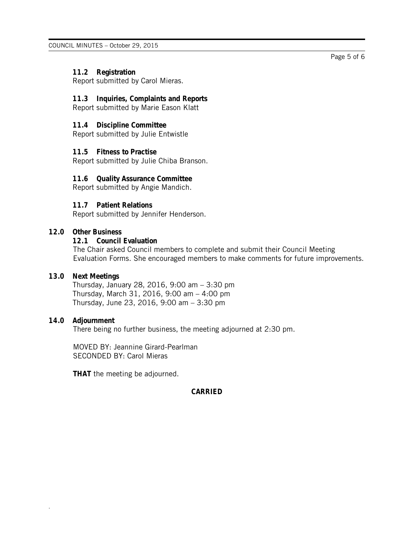## **11.2 Registration**

Report submitted by Carol Mieras.

#### **11.3 Inquiries, Complaints and Reports** Report submitted by Marie Eason Klatt

#### **11.4 Discipline Committee**

Report submitted by Julie Entwistle

### **11.5 Fitness to Practise**

Report submitted by Julie Chiba Branson.

### **11.6 Quality Assurance Committee**

Report submitted by Angie Mandich.

## **11.7 Patient Relations**

Report submitted by Jennifer Henderson.

## **12.0 Other Business**

## **12.1 Council Evaluation**

The Chair asked Council members to complete and submit their Council Meeting Evaluation Forms. She encouraged members to make comments for future improvements.

#### **13.0 Next Meetings**

Thursday, January 28, 2016, 9:00 am – 3:30 pm Thursday, March 31, 2016, 9:00 am – 4:00 pm Thursday, June 23, 2016, 9:00 am – 3:30 pm

#### **14.0 Adjournment**

.

There being no further business, the meeting adjourned at 2:30 pm.

MOVED BY: Jeannine Girard-Pearlman SECONDED BY: Carol Mieras

**THAT** the meeting be adjourned.

#### **CARRIED**